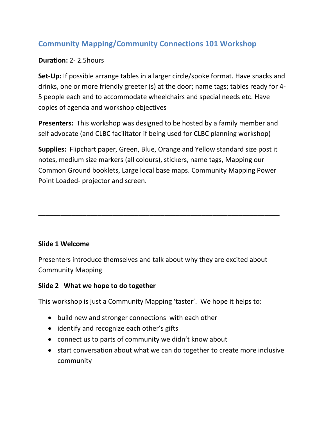# **Community Mapping/Community Connections 101 Workshop**

## **Duration:** 2- 2.5hours

**Set-Up:** If possible arrange tables in a larger circle/spoke format. Have snacks and drinks, one or more friendly greeter (s) at the door; name tags; tables ready for 4- 5 people each and to accommodate wheelchairs and special needs etc. Have copies of agenda and workshop objectives

**Presenters:** This workshop was designed to be hosted by a family member and self advocate (and CLBC facilitator if being used for CLBC planning workshop)

**Supplies:** Flipchart paper, Green, Blue, Orange and Yellow standard size post it notes, medium size markers (all colours), stickers, name tags, Mapping our Common Ground booklets, Large local base maps. Community Mapping Power Point Loaded- projector and screen.

\_\_\_\_\_\_\_\_\_\_\_\_\_\_\_\_\_\_\_\_\_\_\_\_\_\_\_\_\_\_\_\_\_\_\_\_\_\_\_\_\_\_\_\_\_\_\_\_\_\_\_\_\_\_\_\_\_\_\_\_\_\_\_\_\_

#### **Slide 1 Welcome**

Presenters introduce themselves and talk about why they are excited about Community Mapping

## **Slide 2 What we hope to do together**

This workshop is just a Community Mapping 'taster'. We hope it helps to:

- build new and stronger connections with each other
- identify and recognize each other's gifts
- connect us to parts of community we didn't know about
- start conversation about what we can do together to create more inclusive community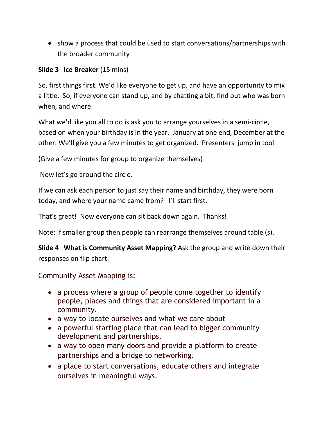• show a process that could be used to start conversations/partnerships with the broader community

## **Slide 3 Ice Breaker** (15 mins)

So, first things first. We'd like everyone to get up, and have an opportunity to mix a little. So, if everyone can stand up, and by chatting a bit, find out who was born when, and where.

What we'd like you all to do is ask you to arrange yourselves in a semi-circle, based on when your birthday is in the year. January at one end, December at the other. We'll give you a few minutes to get organized. Presenters jump in too!

(Give a few minutes for group to organize themselves)

Now let's go around the circle.

If we can ask each person to just say their name and birthday, they were born today, and where your name came from? I'll start first.

That's great! Now everyone can sit back down again. Thanks!

Note: If smaller group then people can rearrange themselves around table (s).

**Slide 4 What is Community Asset Mapping?** Ask the group and write down their responses on flip chart.

# Community Asset Mapping is:

- a process where a group of people come together to identify people, places and things that are considered important in a community.
- a way to locate ourselves and what we care about
- a powerful starting place that can lead to bigger community development and partnerships.
- a way to open many doors and provide a platform to create partnerships and a bridge to networking.
- a place to start conversations, educate others and integrate ourselves in meaningful ways.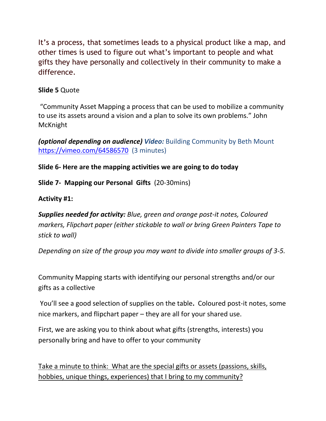It's a process, that sometimes leads to a physical product like a map, and other times is used to figure out what's important to people and what gifts they have personally and collectively in their community to make a difference.

# **Slide 5** Quote

"Community Asset Mapping a process that can be used to mobilize a community to use its assets around a vision and a plan to solve its own problems." John McKnight

*(optional depending on audience) Video:* Building Community by Beth Mount <https://vimeo.com/64586570>(3 minutes)

# **Slide 6- Here are the mapping activities we are going to do today**

**Slide 7- Mapping our Personal Gifts** (20-30mins)

## **Activity #1:**

*Supplies needed for activity: Blue, green and orange post-it notes, Coloured markers, Flipchart paper (either stickable to wall or bring Green Painters Tape to stick to wall)*

*Depending on size of the group you may want to divide into smaller groups of 3-5.*

Community Mapping starts with identifying our personal strengths and/or our gifts as a collective

You'll see a good selection of supplies on the table**.** Coloured post-it notes, some nice markers, and flipchart paper – they are all for your shared use.

First, we are asking you to think about what gifts (strengths, interests) you personally bring and have to offer to your community

Take a minute to think: What are the special gifts or assets (passions, skills, hobbies, unique things, experiences) that I bring to my community?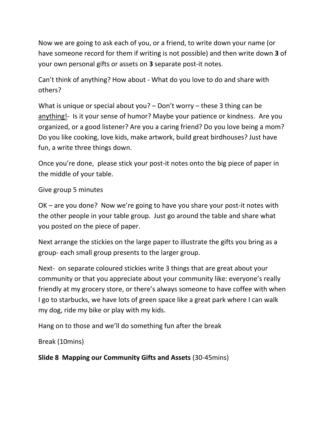Now we are going to ask each of you, or a friend, to write down your name (or have someone record for them if writing is not possible) and then write down **3** of your own personal gifts or assets on **3** separate post-it notes.

Can't think of anything? How about - What do you love to do and share with others?

What is unique or special about you? – Don't worry – these 3 thing can be anything!- Is it your sense of humor? Maybe your patience or kindness. Are you organized, or a good listener? Are you a caring friend? Do you love being a mom? Do you like cooking, love kids, make artwork, build great birdhouses? Just have fun, a write three things down.

Once you're done, please stick your post-it notes onto the big piece of paper in the middle of your table.

#### Give group 5 minutes

OK – are you done? Now we're going to have you share your post-it notes with the other people in your table group. Just go around the table and share what you posted on the piece of paper.

Next arrange the stickies on the large paper to illustrate the gifts you bring as a group- each small group presents to the larger group.

Next- on separate coloured stickies write 3 things that are great about your community or that you appreciate about your community like: everyone's really friendly at my grocery store, or there's always someone to have coffee with when I go to starbucks, we have lots of green space like a great park where I can walk my dog, ride my bike or play with my kids.

Hang on to those and we'll do something fun after the break

Break (10mins)

**Slide 8 Mapping our Community Gifts and Assets** (30-45mins)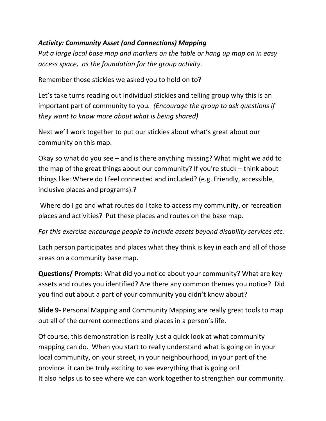# *Activity: Community Asset (and Connections) Mapping*

*Put a large local base map and markers on the table or hang up map on in easy access space, as the foundation for the group activity.* 

Remember those stickies we asked you to hold on to?

Let's take turns reading out individual stickies and telling group why this is an important part of community to you*. (Encourage the group to ask questions if they want to know more about what is being shared)*

Next we'll work together to put our stickies about what's great about our community on this map.

Okay so what do you see – and is there anything missing? What might we add to the map of the great things about our community? If you're stuck – think about things like: Where do I feel connected and included? (e.g. Friendly, accessible, inclusive places and programs).?

Where do I go and what routes do I take to access my community, or recreation places and activities? Put these places and routes on the base map.

*For this exercise encourage people to include assets beyond disability services etc.*

Each person participates and places what they think is key in each and all of those areas on a community base map.

**Questions/ Prompts:** What did you notice about your community? What are key assets and routes you identified? Are there any common themes you notice? Did you find out about a part of your community you didn't know about?

**Slide 9-** Personal Mapping and Community Mapping are really great tools to map out all of the current connections and places in a person's life.

Of course, this demonstration is really just a quick look at what community mapping can do. When you start to really understand what is going on in your local community, on your street, in your neighbourhood, in your part of the province it can be truly exciting to see everything that is going on! It also helps us to see where we can work together to strengthen our community.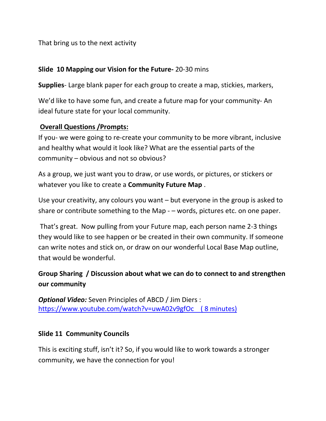That bring us to the next activity

#### **Slide 10 Mapping our Vision for the Future-** 20-30 mins

**Supplies**- Large blank paper for each group to create a map, stickies, markers,

We'd like to have some fun, and create a future map for your community- An ideal future state for your local community.

#### **Overall Questions /Prompts:**

If you- we were going to re-create your community to be more vibrant, inclusive and healthy what would it look like? What are the essential parts of the community – obvious and not so obvious?

As a group, we just want you to draw, or use words, or pictures, or stickers or whatever you like to create a **Community Future Map** .

Use your creativity, any colours you want – but everyone in the group is asked to share or contribute something to the Map - – words, pictures etc. on one paper.

That's great. Now pulling from your Future map, each person name 2-3 things they would like to see happen or be created in their own community. If someone can write notes and stick on, or draw on our wonderful Local Base Map outline, that would be wonderful.

# **Group Sharing / Discussion about what we can do to connect to and strengthen our community**

*Optional Video:* Seven Principles of ABCD / Jim Diers : <https://www.youtube.com/watch?v=uwA02v9gfOc>( 8 minutes)

## **Slide 11 Community Councils**

This is exciting stuff, isn't it? So, if you would like to work towards a stronger community, we have the connection for you!